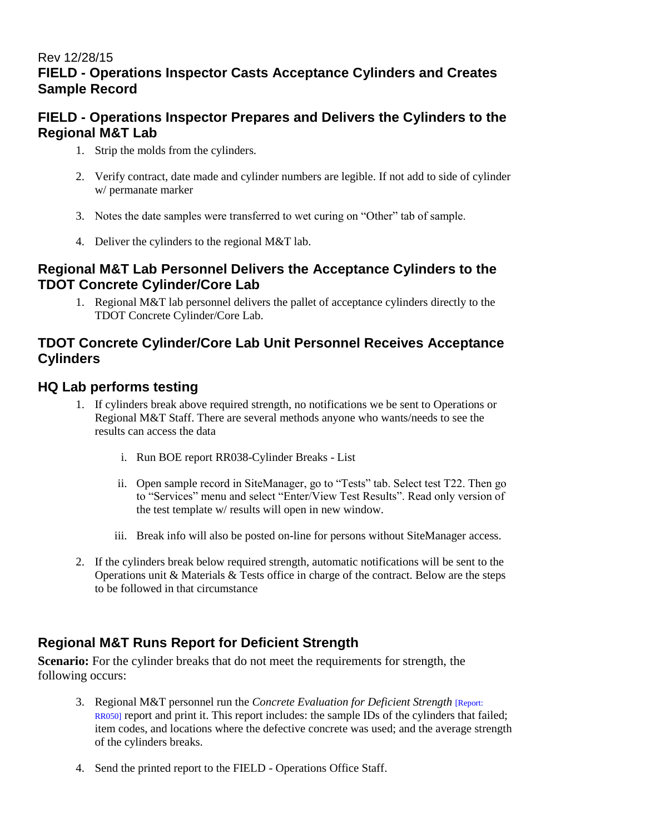#### Rev 12/28/15 **FIELD - Operations Inspector Casts Acceptance Cylinders and Creates Sample Record**

# **FIELD - Operations Inspector Prepares and Delivers the Cylinders to the Regional M&T Lab**

- 1. Strip the molds from the cylinders.
- 2. Verify contract, date made and cylinder numbers are legible. If not add to side of cylinder w/ permanate marker
- 3. Notes the date samples were transferred to wet curing on "Other" tab of sample.
- 4. Deliver the cylinders to the regional M&T lab.

#### **Regional M&T Lab Personnel Delivers the Acceptance Cylinders to the TDOT Concrete Cylinder/Core Lab**

1. Regional M&T lab personnel delivers the pallet of acceptance cylinders directly to the TDOT Concrete Cylinder/Core Lab.

### **TDOT Concrete Cylinder/Core Lab Unit Personnel Receives Acceptance Cylinders**

# **HQ Lab performs testing**

- 1. If cylinders break above required strength, no notifications we be sent to Operations or Regional M&T Staff. There are several methods anyone who wants/needs to see the results can access the data
	- i. Run BOE report RR038-Cylinder Breaks List
	- ii. Open sample record in SiteManager, go to "Tests" tab. Select test T22. Then go to "Services" menu and select "Enter/View Test Results". Read only version of the test template w/ results will open in new window.
	- iii. Break info will also be posted on-line for persons without SiteManager access.
- 2. If the cylinders break below required strength, automatic notifications will be sent to the Operations unit & Materials & Tests office in charge of the contract. Below are the steps to be followed in that circumstance

# **Regional M&T Runs Report for Deficient Strength**

**Scenario:** For the cylinder breaks that do not meet the requirements for strength, the following occurs:

- 3. Regional M&T personnel run the *Concrete Evaluation for Deficient Strength* [Report: RR050] report and print it. This report includes: the sample IDs of the cylinders that failed; item codes, and locations where the defective concrete was used; and the average strength of the cylinders breaks.
- 4. Send the printed report to the FIELD Operations Office Staff.